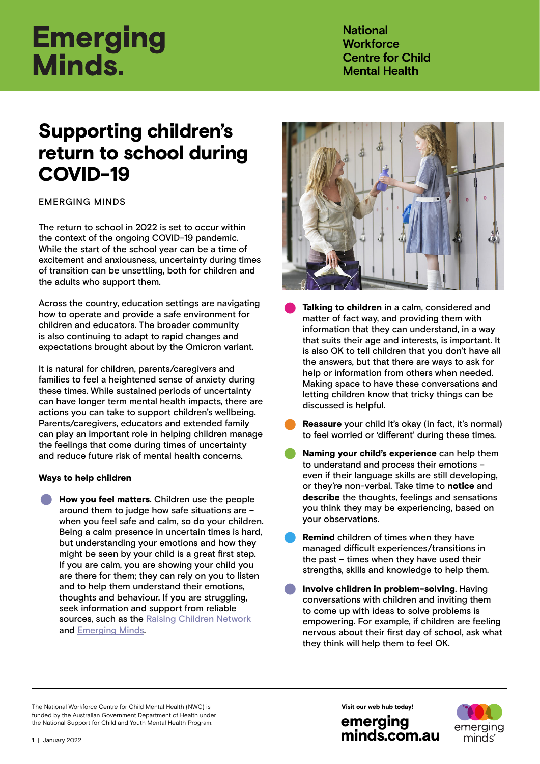# **Emerging** Minds.

**National Workforce Centre for Child Mental Health**

# Supporting children's return to school during COVID-19

# EMERGING MINDS

The return to school in 2022 is set to occur within the context of the ongoing COVID-19 pandemic. While the start of the school year can be a time of excitement and anxiousness, uncertainty during times of transition can be unsettling, both for children and the adults who support them.

Across the country, education settings are navigating how to operate and provide a safe environment for children and educators. The broader community is also continuing to adapt to rapid changes and expectations brought about by the Omicron variant.

It is natural for children, parents/caregivers and families to feel a heightened sense of anxiety during these times. While sustained periods of uncertainty can have longer term mental health impacts, there are actions you can take to support children's wellbeing. Parents/caregivers, educators and extended family can play an important role in helping children manage the feelings that come during times of uncertainty and reduce future risk of mental health concerns.

# Ways to help children

• Ways to help children<br>● How you feel matters. Children use the people<br>around them to judge how safe situations are –<br>when you feel safe and calm, so do your childre around them to judge how safe situations are – when you feel safe and calm, so do your children. Being a calm presence in uncertain times is hard, but understanding your emotions and how they might be seen by your child is a great first step. If you are calm, you are showing your child you are there for them; they can rely on you to listen and to help them understand their emotions, thoughts and behaviour. If you are struggling, seek information and support from reliable sources, such as the [Raising Children Network](https://raisingchildren.net.au/grown-ups/services-support/services-families/parent-family-services) and [Emerging Minds.](https://emergingminds.com.au/resources/toolkits/supporting-childrens-mental-health-during-a-pandemic/)



- **Talking to children** in a calm, considered and matter of fact way, and providing them with information that they can understand, in a way matter of fact way, and providing them with that suits their age and interests, is important. It is also OK to tell children that you don't have all the answers, but that there are ways to ask for help or information from others when needed. Making space to have these conversations and letting children know that tricky things can be discussed is helpful.
- Reassure your child it's okay (in fact, it's normal) to feel worried or 'different' during these times.
- Naming your child's experience can help them to understand and process their emotions – even if their language skills are still developing, or they're non-verbal. Take time to notice and describe the thoughts, feelings and sensations you think they may be experiencing, based on your observations.
- Remind children of times when they have managed difficult experiences/transitions in the past – times when they have used their
- strengths, skills and knowledge to help them.<br> **Involve children in problem-solving**. Having<br>
conversations with children and inviting them<br>
to come up with ideas to solve problems is conversations with children and inviting them to come up with ideas to solve problems is empowering. For example, if children are feeling nervous about their first day of school, ask what they think will help them to feel OK.

The National Workforce Centre for Child Mental Health (NWC) is funded by the Australian Government Department of Health under the National Support for Child and Youth Mental Health Program.

[minds.com.au](https://emergingminds.com.au/)

emerging

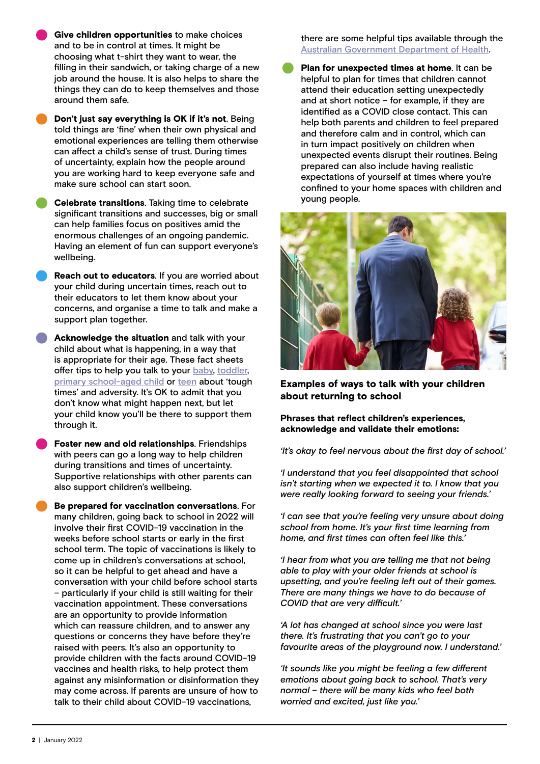- Give children opportunities to make choices and to be in control at times. It might be choosing what t-shirt they want to wear, the filling in their sandwich, or taking charge of a new job around the house. It is also helps to share the things they can do to keep themselves and those around them safe.
- Don't just say everything is OK if it's not. Being told things are 'fine' when their own physical and emotional experiences are telling them otherwise can affect a child's sense of trust. During times of uncertainty, explain how the people around you are working hard to keep everyone safe and make sure school can start soon.
- Celebrate transitions. Taking time to celebrate significant transitions and successes, big or small can help families focus on positives amid the enormous challenges of an ongoing pandemic. Having an element of fun can support everyone's wellbeing.
- Reach out to educators. If you are worried about your child during uncertain times, reach out to their educators to let them know about your concerns, and organise a time to talk and make a support plan together.
- Acknowledge the situation and talk with your child about what is happening, in a way that is appropriate for their age. These fact sheets offer tips to help you talk to your [baby,](https://emergingminds.com.au/resources/communicating-with-your-baby-during-adversity-or-tough-times/) [toddler,](https://emergingminds.com.au/resources/communicating-with-your-toddler-during-adversity-or-tough-times/) [primary school-aged child](https://emergingminds.com.au/resources/communicating-with-your-primary-school-age-child-during-adversity-or-tough-times/) or [teen](https://emergingminds.com.au/resources/communicating-with-your-teenager-during-adversity-or-tough-times/) about 'tough times' and adversity. It's OK to admit that you don't know what might happen next, but let your child know you'll be there to support them through it.
- through it.<br>• Foster new and old relationships. Friendships<br>• with peers can go a long way to help children<br>• during transitions and times of uncertainty. with peers can go a long way to help children during transitions and times of uncertainty. Supportive relationships with other parents can also support children's wellbeing.
	- Be prepared for vaccination conversations. For many children, going back to school in 2022 will involve their first COVID-19 vaccination in the weeks before school starts or early in the first school term. The topic of vaccinations is likely to come up in children's conversations at school, so it can be helpful to get ahead and have a conversation with your child before school starts – particularly if your child is still waiting for their vaccination appointment. These conversations are an opportunity to provide information which can reassure children, and to answer any questions or concerns they have before they're raised with peers. It's also an opportunity to provide children with the facts around COVID-19 vaccines and health risks, to help protect them against any misinformation or disinformation they may come across. If parents are unsure of how to talk to their child about COVID-19 vaccinations,

there are some helpful tips available through the

[Australian Government Department of Health](https://www.health.gov.au/resources/publications/covid-19-vaccination-how-to-speak-to-kids-about-covid-19-vaccines).<br>
• Plan for unexpected times at home. It can be<br>
helpful to plan for times that children cannot<br>
attend their education setting unexpectedly helpful to plan for times that children cannot attend their education setting unexpectedly and at short notice – for example, if they are identified as a COVID close contact. This can help both parents and children to feel prepared and therefore calm and in control, which can in turn impact positively on children when unexpected events disrupt their routines. Being prepared can also include having realistic expectations of yourself at times where you're confined to your home spaces with children and young people.



Examples of ways to talk with your children about returning to school

#### Phrases that reflect children's experiences, acknowledge and validate their emotions:

*'It's okay to feel nervous about the first day of school.'*

*'I understand that you feel disappointed that school isn't starting when we expected it to. I know that you were really looking forward to seeing your friends.'* 

*'I can see that you're feeling very unsure about doing school from home. It's your first time learning from home, and first times can often feel like this.'*

*'I hear from what you are telling me that not being able to play with your older friends at school is upsetting, and you're feeling left out of their games. There are many things we have to do because of COVID that are very difficult.'* 

*'A lot has changed at school since you were last there. It's frustrating that you can't go to your favourite areas of the playground now. I understand.'*

*'It sounds like you might be feeling a few different emotions about going back to school. That's very normal – there will be many kids who feel both worried and excited, just like you.'*